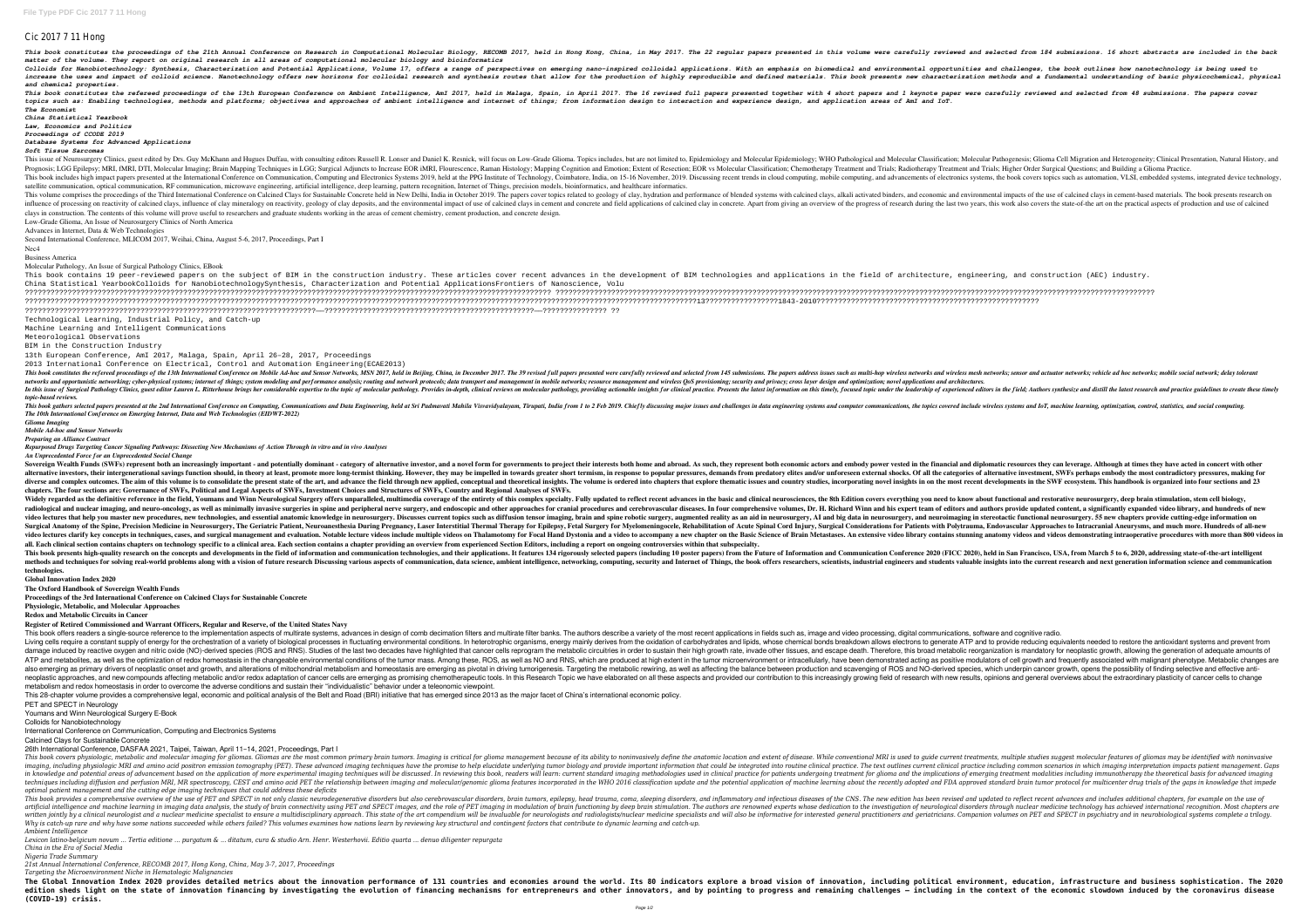## Cic 2017 7 11 Hong

This book constitutes the proceedings of the 21th Annual Conference on Research in Computational Molecular Biology, RECOMB 2017, held in Hong Kong, China, in May 2017. The 22 regular papers presented in the salected from 1 *matter of the volume. They report on original research in all areas of computational molecular biology and bioinformatics* Colloids for Nanobiotechnology: Synthesis, Characterization and Potential Applications, Volume 17, offers a range of perspectives on emerging nano-inspired colloidal applications. With an emphasis on biomedical and environ increase the uses and impact of colloid science. Nanotechnology offers new horizons for colloidal research and synthesis routes that allow for the production of highly reproducible and defined materials. This book presents *and chemical properties.*

This book constitutes the refereed proceedings of the 13th European Conference on Ambient Intelligence, Ami 2017, held in Malaga, Spain, in April 2017. The 16 revised full papers presented together with 4 short papers and topics such as: Enabling technologies, methods and platforms; objectives and approaches of ambient intelligence and internet of things; from information design to interaction and experience design, and application areas of *The Economist*

*China Statistical Yearbook Law, Economics and Politics*

*Proceedings of CCODE 2019*

*Database Systems for Advanced Applications*

*Soft Tissue Sarcomas*

This issue of Neurosurgery Clinics, guest edited by Drs. Guy McKhann and Hugues Duffau, with consulting editors Russell R. Lonser and Daniel K. Resnick, will focus on Low-Grade Glioma. Topics includes, but are not limited Prognosis; LGG Epilepsy; MRI, fMRI, DTI, Molecular Imaging; Brain Mapping Techniques in LGG; Surgical Adjuncts to Increase EOR iMRI, Flourescence, Raman Histology; Mapping Cognition and Emotion; Extent of Resection; Extent This book includes high impact papers presented at the International Conference on Communication, Computing and Electronics Systems 2019, held at the PPG Institute of Technology, Coimbatore, India, on 15-16 November, 2019. satellite communication, optical communication, RF communication, microwave engineering, artificial intelligence, deep learning, pattern recognition, Internet of Things, precision models, bioinformatics, and healthcare inf This volume comprises the proceedings of the Third International Conference on Calcined Clays for Sustainable Concrete held in New Delhi, India in October 2019. The papers cover topics related to geology of clay, hydration influence of processing on reactivity of calcined clays, influence of clay mineralogy on reactivity, geology of clay mineralogy on reactivity, geology of clay deposits, and the environmental impact of use of calcined clays clays in construction. The contents of this volume will prove useful to researchers and graduate students working in the areas of cement chemistry, cement production, and concrete design. Low-Grade Glioma, An Issue of Neurosurgery Clinics of North America

This book contains 19 peer-reviewed papers on the subject of BIM in the construction industry. These articles cover recent advances in the development of BIM technologies and applications in the field of architecture, engi China Statistical YearbookColloids for NanobiotechnologySynthesis, Characterization and Potential ApplicationsFrontiers of Nanoscience, Volu ??????????????????????????????????????????????????????????????????????????????????????????????????????????????????????????? ???????????????????????????????????????????????????????????????????????????????????????????????????????????????????????????????????????????? ?????????????????????????????????????????????????????????????????????????????????????????????????????????????????????????????????????????????????????????????13?????????????????1843-2010???????????????????????????????????????????????????? ????????????????????????????????????????????????????????????????????——?????????????????????????????????????????????????——??????????????? ??

Advances in Internet, Data & Web Technologies

Second International Conference, MLICOM 2017, Weihai, China, August 5-6, 2017, Proceedings, Part I

Nec4 Business America

Molecular Pathology, An Issue of Surgical Pathology Clinics, EBook

Technological Learning, Industrial Policy, and Catch-up

Machine Learning and Intelligent Communications Meteorological Observations

BIM in the Construction Industry

13th European Conference, AmI 2017, Malaga, Spain, April 26–28, 2017, Proceedings

2013 International Conference on Electrical, Control and Automation Engineering(ECAE2013)

This book constitutes the refereed proceedings of the 13th International Conference on Mobile Ad-hoc and Sensor Networks, MSN 2017, held in Beijing, China, in December 2017. The 39 revised full papers presented were carefu networks and opportunistic networking; cyber-physical systems; internet of things; system modeling and performance analysis; routing and network protocols; data transport and management in mobile networks; resource managem In this issue of Surgical Pathology Clinics, guest editor Lauren L. Ritterhouse brings her considerable expertise to the topic of molecular pathology. Provides in-depth, clinical reviews on molecular pathology, providing a *topic-based reviews.* This book gathers selected papers presented at the 2nd International Conference on Computing, Communications and Data Engineering, held at Sri Padmavati Mahila Visvavidyalayam, Tirupati, India from 1 to 2 Feb 2019. Chiefly

Sovereign Wealth Funds (SWFs) represent both an increasingly important - and potentially dominant - category of alternative investor, and a novel form for governments to project their interests both home and abroad. As suc alternative investors, their intergenerational savings function should, in theory at least, promote more long-termist thinking. However, they may be impelled in towards greater short termism, in response to popular pressur diverse and complex outcomes. The aim of this volume is to consolidate the present state of the art, and advance the field through new applied, conceptual and theoretical insights. The volume is ordered into chapters that **chapters. The four sections are: Governance of SWFs, Political and Legal Aspects of SWFs, Investment Choices and Structures of SWFs, Country and Regional Analyses of SWFs.** Widely regarded as the definitive reference in the field, Youmans and Winn Neurological Surgery offers unparalleled, multimedia coverage of the entirety of this complex specialty. Fully updated to reflect recent advances i radiological and nuclear imaging, and neuro-oncology, as well as minimally invasive surgeries in spine and peripheral nerve surgery, and endoscopic and other approaches for cranial procedures and authors provide updated co video lectures that help you master new procedures, new technologies, and essential anatomic knowledge in neurosurgery. Discusses current topics such as diffusion tensor imaging, brain and big data in neurosurgery, and neu Surgical Anatomy of the Spine, Precision Medicine in Neurosurgery, The Geriatric Patient, Neuroanesthesia During Pregnancy, Laser Interstitial Thermal Therapy for Epilepsy, Fetal Surgery for Myelomeningocele, Rehabilitatio video lectures clarify key concepts in techniques, cases, and surgical management and evaluation. Notable lecture videos include multiple videos include multiple videos on Thalamotomy for Focal Hand Dystonia and a video to all. Each clinical section contains chapters on technology specific to a clinical area. Each section contains a chapter providing an overview from experienced Section Editors, including a report on ongoing controversies wi This book presents high-quality research on the concepts and developments in the field of information and communication and communication Conference 2020 (FICC 2020), held in San Francisco, USA, from March 5 to 6, 2020, ad methods and techniques for solving real-world problems along with a vision of future research Discussing various aspects of communication, data science, ambient intelligence, networking, computing, security and Internet of **technologies.**

This book offers readers a single-source reference to the implementation aspects of multirate systems, advances in design of comb decimation filters and multirate filter banks. The authors describe a variety of the most re Living cells require a constant supply of energy for the orchestration of a variety of biological processes in fluctuating environmental conditions. In heterotrophic organisms, energy mainly derives from the oxidation of c damage induced by reactive oxygen and nitric oxide (NO)-derived species (ROS and RNS). Studies of the last two decades have highlighted that cancer cells reprogram the metabolic reorganization is mandatory for neoplastic g ATP and metabolites, as well as the optimization of redox homeostasis in the changeable environmental conditions of the tumor mass. Among these, ROS, as well as NO and RNS, which are produced at high extent in the tumor mi also emerging as primary drivers of neoplastic onset and growth, and alterations of mitochondrial metabolism and homeostasis are emerging as pivotal in driving tumorigenesis. Targeting the metabolic rewiring, as well as af neoplastic approaches, and new compounds affecting metabolic and/or redox adaptation of cancer cells are emerging as promising chemotherapeutic tools. In this increasingly growing field of research with new results, opinio metabolism and redox homeostasis in order to overcome the adverse conditions and sustain their "individualistic" behavior under a teleonomic viewpoint. This 28-chapter volume provides a comprehensive legal, economic and political analysis of the Belt and Road (BRI) initiative that has emerged since 2013 as the major facet of China's international economic policy. PET and SPECT in Neurology

*The 10th International Conference on Emerging Internet, Data and Web Technologies (EIDWT-2022)*

*Glioma Imaging*

*Mobile Ad-hoc and Sensor Networks Preparing an Alliance Contract*

*Repurposed Drugs Targeting Cancer Signaling Pathways: Dissecting New Mechanisms of Action Through in vitro and in vivo Analyses*

*An Unprecedented Force for an Unprecedented Social Change*

This book covers physiologic, metabolic and molecular imaging for gliomas. Gliomas are the most common primary brain tumors. Imaging is critical for glioma management because of its ability to noninvasively define the anat These advanced imaging technique maging and a moveraghly (PET). These advanced imaging techniques have the promise to help elucidate underlying tumor biology and provide important information that could be integrated into in knowledge and potential areas of advancement based on the application of more experimental imaging techniques will be discussed. In reviewing this book, readers will learn: current standard imaging methodologies used in techniques including diffusion and perfusion MRI, MR spectroscopy, CEST and amino acid PET the relationship between imaging and molecular/genomic glioma features incorporated and FDA approved standard brain tumor protocol *optimal patient management and the cutting edge imaging techniques that could address these deficits*

This book provides a comprehensive overview of the use of PET and SPECT in not only classic neurodegenerative disorders but also cerebrovascular disorders, and inflammatory and inflammatory and inglated to reflect recent a artificial intelligence and machine learning in imaging data analysis, the study of brain connectivity using PET and SPECT images, and the role of PET imaging in modulation of neurological disorders through nuclear medicin written jointly by a clinical neurologist and a nuclear medicine specialist to ensure a multidisciplinary approach. This state of the art compendium will be invaluable for neurologists/nuclear medicines and geriatricians. Why is catch-up rare and why have some nations succeeded while others failed? This volumes examines how nations learn by reviewing key structural and contingent factors that contribute to dynamic learning and catch-up. *Ambient Intelligence*

The Global Innovation Index 2020 provides detailed metrics about the innovation performance of 131 countries and economies around the world. Its 80 indicators explore a broad vision of innovation, including political envir edition sheds light on the state of innovation financing by investigating the evolution of financing mechanisms for entrepreneurs and other innovators, and by pointing to progress and remaining challenges – including in th **(COVID-19) crisis.**

**Global Innovation Index 2020**

**The Oxford Handbook of Sovereign Wealth Funds**

**Proceedings of the 3rd International Conference on Calcined Clays for Sustainable Concrete**

**Physiologic, Metabolic, and Molecular Approaches**

**Redox and Metabolic Circuits in Cancer**

**Register of Retired Commissioned and Warrant Officers, Regular and Reserve, of the United States Navy**

Youmans and Winn Neurological Surgery E-Book

Colloids for Nanobiotechnology

International Conference on Communication, Computing and Electronics Systems

Calcined Clays for Sustainable Concrete

26th International Conference, DASFAA 2021, Taipei, Taiwan, April 11–14, 2021, Proceedings, Part I

*Lexicon latino-belgicum novum ... Tertia editione ... purgatum & ... ditatum, cura & studio Arn. Henr. Westerhovii. Editio quarta ... denuo diligenter repurgata China in the Era of Social Media*

*Nigeria Trade Summary*

*21st Annual International Conference, RECOMB 2017, Hong Kong, China, May 3-7, 2017, Proceedings*

*Targeting the Microenvironment Niche in Hematologic Malignancies*